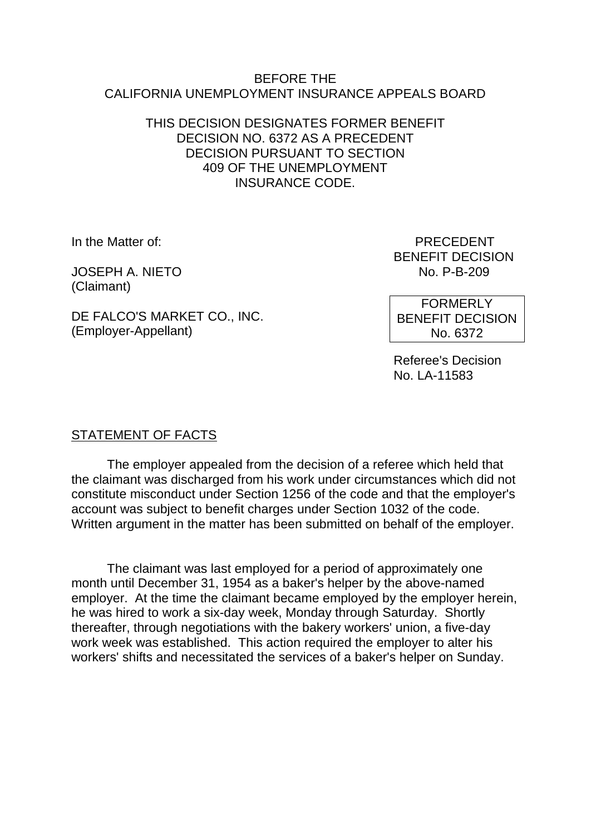#### BEFORE THE CALIFORNIA UNEMPLOYMENT INSURANCE APPEALS BOARD

### THIS DECISION DESIGNATES FORMER BENEFIT DECISION NO. 6372 AS A PRECEDENT DECISION PURSUANT TO SECTION 409 OF THE UNEMPLOYMENT INSURANCE CODE.

**JOSEPH A. NIETO** (Claimant)

DE FALCO'S MARKET CO., INC. (Employer-Appellant)

In the Matter of: PRECEDENT BENEFIT DECISION<br>No. P-B-209

> FORMERLY BENEFIT DECISION No. 6372

Referee's Decision No. LA-11583

# STATEMENT OF FACTS

The employer appealed from the decision of a referee which held that the claimant was discharged from his work under circumstances which did not constitute misconduct under Section 1256 of the code and that the employer's account was subject to benefit charges under Section 1032 of the code. Written argument in the matter has been submitted on behalf of the employer.

The claimant was last employed for a period of approximately one month until December 31, 1954 as a baker's helper by the above-named employer. At the time the claimant became employed by the employer herein, he was hired to work a six-day week, Monday through Saturday. Shortly thereafter, through negotiations with the bakery workers' union, a five-day work week was established. This action required the employer to alter his workers' shifts and necessitated the services of a baker's helper on Sunday.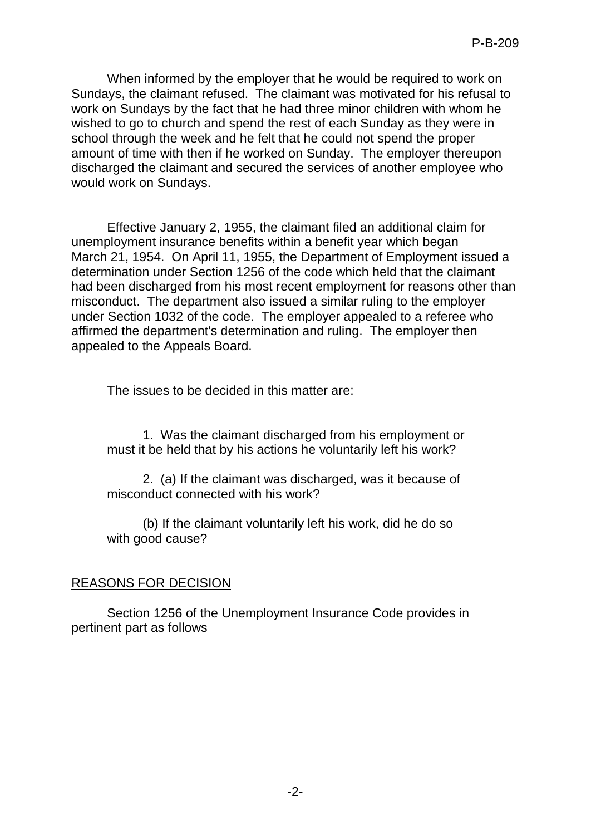When informed by the employer that he would be required to work on Sundays, the claimant refused. The claimant was motivated for his refusal to work on Sundays by the fact that he had three minor children with whom he wished to go to church and spend the rest of each Sunday as they were in school through the week and he felt that he could not spend the proper amount of time with then if he worked on Sunday. The employer thereupon discharged the claimant and secured the services of another employee who would work on Sundays.

Effective January 2, 1955, the claimant filed an additional claim for unemployment insurance benefits within a benefit year which began March 21, 1954. On April 11, 1955, the Department of Employment issued a determination under Section 1256 of the code which held that the claimant had been discharged from his most recent employment for reasons other than misconduct. The department also issued a similar ruling to the employer under Section 1032 of the code. The employer appealed to a referee who affirmed the department's determination and ruling. The employer then appealed to the Appeals Board.

The issues to be decided in this matter are:

1. Was the claimant discharged from his employment or must it be held that by his actions he voluntarily left his work?

2. (a) If the claimant was discharged, was it because of misconduct connected with his work?

(b) If the claimant voluntarily left his work, did he do so with good cause?

#### REASONS FOR DECISION

Section 1256 of the Unemployment Insurance Code provides in pertinent part as follows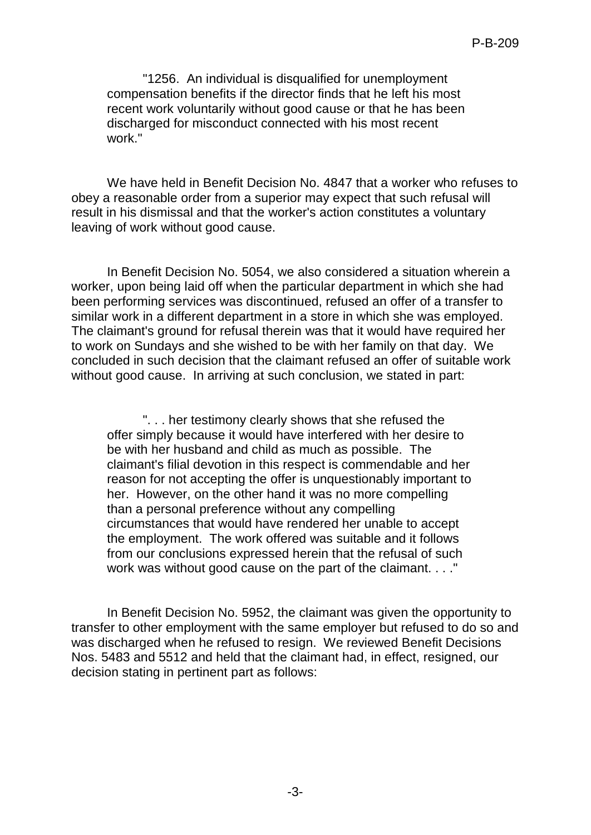"1256. An individual is disqualified for unemployment compensation benefits if the director finds that he left his most recent work voluntarily without good cause or that he has been discharged for misconduct connected with his most recent work."

We have held in Benefit Decision No. 4847 that a worker who refuses to obey a reasonable order from a superior may expect that such refusal will result in his dismissal and that the worker's action constitutes a voluntary leaving of work without good cause.

In Benefit Decision No. 5054, we also considered a situation wherein a worker, upon being laid off when the particular department in which she had been performing services was discontinued, refused an offer of a transfer to similar work in a different department in a store in which she was employed. The claimant's ground for refusal therein was that it would have required her to work on Sundays and she wished to be with her family on that day. We concluded in such decision that the claimant refused an offer of suitable work without good cause. In arriving at such conclusion, we stated in part:

". . . her testimony clearly shows that she refused the offer simply because it would have interfered with her desire to be with her husband and child as much as possible. The claimant's filial devotion in this respect is commendable and her reason for not accepting the offer is unquestionably important to her. However, on the other hand it was no more compelling than a personal preference without any compelling circumstances that would have rendered her unable to accept the employment. The work offered was suitable and it follows from our conclusions expressed herein that the refusal of such work was without good cause on the part of the claimant. . . ."

In Benefit Decision No. 5952, the claimant was given the opportunity to transfer to other employment with the same employer but refused to do so and was discharged when he refused to resign. We reviewed Benefit Decisions Nos. 5483 and 5512 and held that the claimant had, in effect, resigned, our decision stating in pertinent part as follows: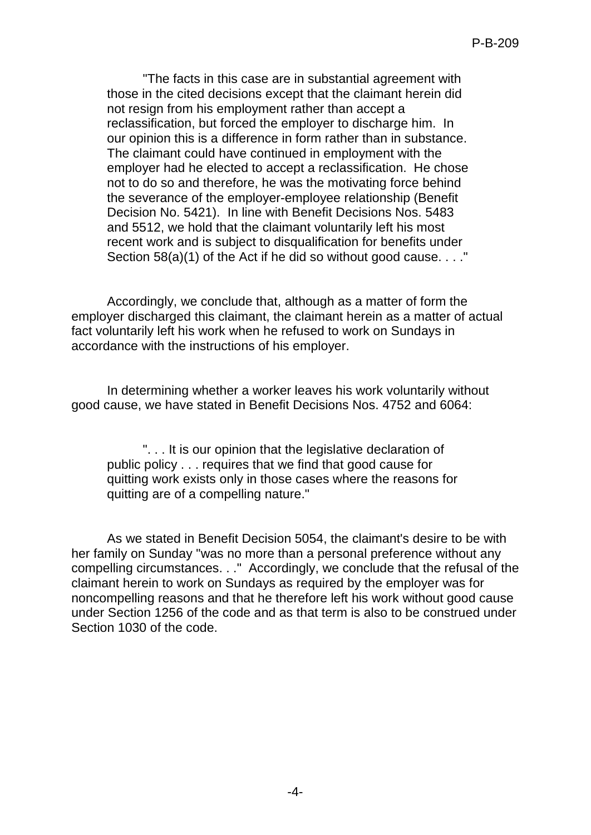"The facts in this case are in substantial agreement with those in the cited decisions except that the claimant herein did not resign from his employment rather than accept a reclassification, but forced the employer to discharge him. In our opinion this is a difference in form rather than in substance. The claimant could have continued in employment with the employer had he elected to accept a reclassification. He chose not to do so and therefore, he was the motivating force behind the severance of the employer-employee relationship (Benefit Decision No. 5421). In line with Benefit Decisions Nos. 5483 and 5512, we hold that the claimant voluntarily left his most recent work and is subject to disqualification for benefits under Section 58(a)(1) of the Act if he did so without good cause. . . ."

Accordingly, we conclude that, although as a matter of form the employer discharged this claimant, the claimant herein as a matter of actual fact voluntarily left his work when he refused to work on Sundays in accordance with the instructions of his employer.

In determining whether a worker leaves his work voluntarily without good cause, we have stated in Benefit Decisions Nos. 4752 and 6064:

". . . It is our opinion that the legislative declaration of public policy . . . requires that we find that good cause for quitting work exists only in those cases where the reasons for quitting are of a compelling nature."

As we stated in Benefit Decision 5054, the claimant's desire to be with her family on Sunday "was no more than a personal preference without any compelling circumstances. . ." Accordingly, we conclude that the refusal of the claimant herein to work on Sundays as required by the employer was for noncompelling reasons and that he therefore left his work without good cause under Section 1256 of the code and as that term is also to be construed under Section 1030 of the code.